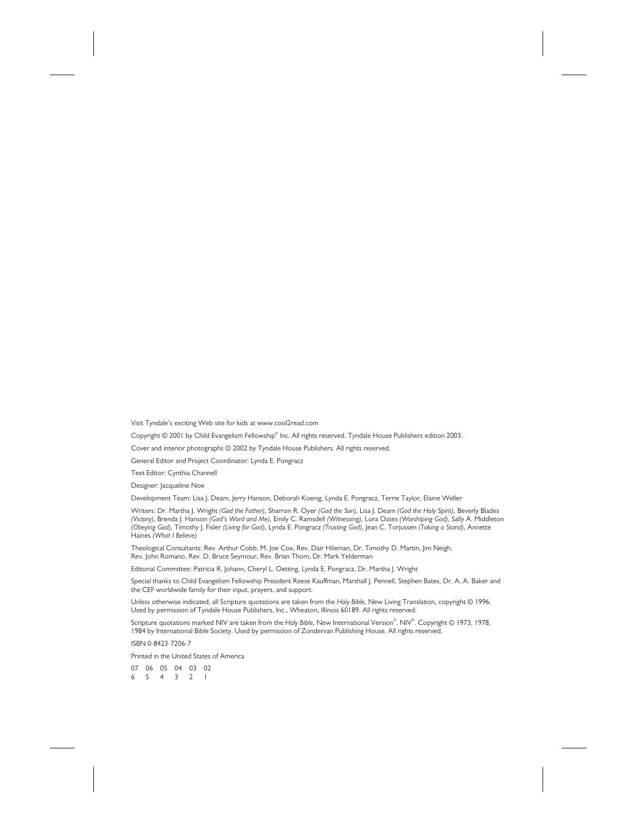Visit Tyndale's exciting Web site for kids at www.cool2read.com

Copyright © 2001 by Child Evangelism Fellowship® Inc. All rights reserved. Tyndale House Publishers edition 2003.

Cover and interior photographs © 2002 by Tyndale House Publishers. All rights reserved.

General Editor and Project Coordinator: Lynda E. Pongracz

Text Editor: Cynthia Channell

Designer: Jacqueline Noe

Development Team: Lisa J. Deam, Jerry Hanson, Deborah Koenig, Lynda E. Pongracz, Terrie Taylor, Elaine Weller

Writers: Dr. Martha J. Wright *(God the Father),* Sharron R. Oyer *(God the Son),* Lisa J. Deam *(God the Holy Spirit),* Beverly Blades *(Victory),* Brenda J. Hanson *(God's Word and Me),* Emily C. Ramsdell *(Witnessing),* Lora Oates *(Worshiping God),* Sally A. Middleton *(Obeying God),* Timothy J. Fisler *(Living for God),* Lynda E. Pongracz *(Trusting God),* Jean C. Torjussen *(Taking a Stand),* Annette Haines *(What I Believe)*

Theological Consultants: Rev. Arthur Cobb, M. Joe Cox, Rev. Dair Hileman, Dr. Timothy D. Martin, Jim Neigh, Rev. John Romano, Rev. D. Bruce Seymour, Rev. Brian Thom, Dr. Mark Yelderman

Editorial Committee: Patricia R. Johann, Cheryl L. Oetting, Lynda E. Pongracz, Dr. Martha J. Wright

Special thanks to Child Evangelism Fellowship President Reese Kauffman, Marshall J. Pennell, Stephen Bates, Dr. A. A. Baker and the CEF worldwide family for their input, prayers, and support.

Unless otherwise indicated, all Scripture quotations are taken from the *Holy Bible,* New Living Translation, copyright © 1996. Used by permission of Tyndale House Publishers, Inc., Wheaton, Illinois 60189. All rights reserved.

Scripture quotations marked NIV are taken from the *Holy Bible,* New International Version® . NIV® . Copyright © 1973, 1978, 1984 by International Bible Society. Used by permission of Zondervan Publishing House. All rights reserved.

ISBN 0-8423-7206-7

Printed in the United States of America

07 06 05 04 03 02 654321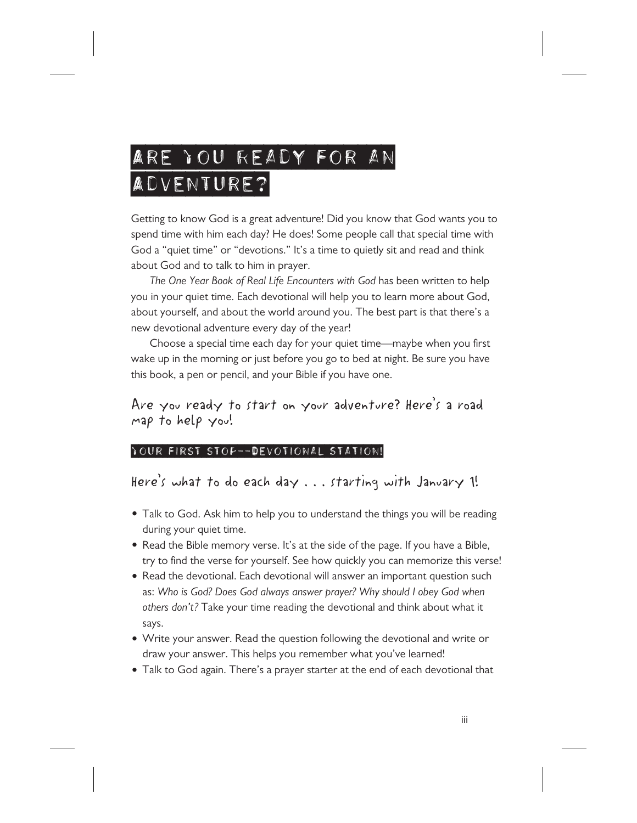# Are You Ready for an Adventure?

Getting to know God is a great adventure! Did you know that God wants you to spend time with him each day? He does! Some people call that special time with God a "quiet time" or "devotions." It's a time to quietly sit and read and think about God and to talk to him in prayer.

*The One Year Book of Real Life Encounters with God* has been written to help you in your quiet time. Each devotional will help you to learn more about God, about yourself, and about the world around you. The best part is that there's a new devotional adventure every day of the year!

Choose a special time each day for your quiet time—maybe when you first wake up in the morning or just before you go to bed at night. Be sure you have this book, a pen or pencil, and your Bible if you have one.

# Are you ready to start on your adventure? Here's a road map to help you!

## YOUR FIRST STOF--DEVOTIONAL STATION!

# Here's what to do each day . . . starting with January 1!

- Talk to God. Ask him to help you to understand the things you will be reading during your quiet time.
- Read the Bible memory verse. It's at the side of the page. If you have a Bible, try to find the verse for yourself. See how quickly you can memorize this verse!
- Read the devotional. Each devotional will answer an important question such as: *Who is God? Does God always answer prayer? Why should I obey God when others don't?* Take your time reading the devotional and think about what it says.
- Write your answer. Read the question following the devotional and write or draw your answer. This helps you remember what you've learned!
- Talk to God again. There's a prayer starter at the end of each devotional that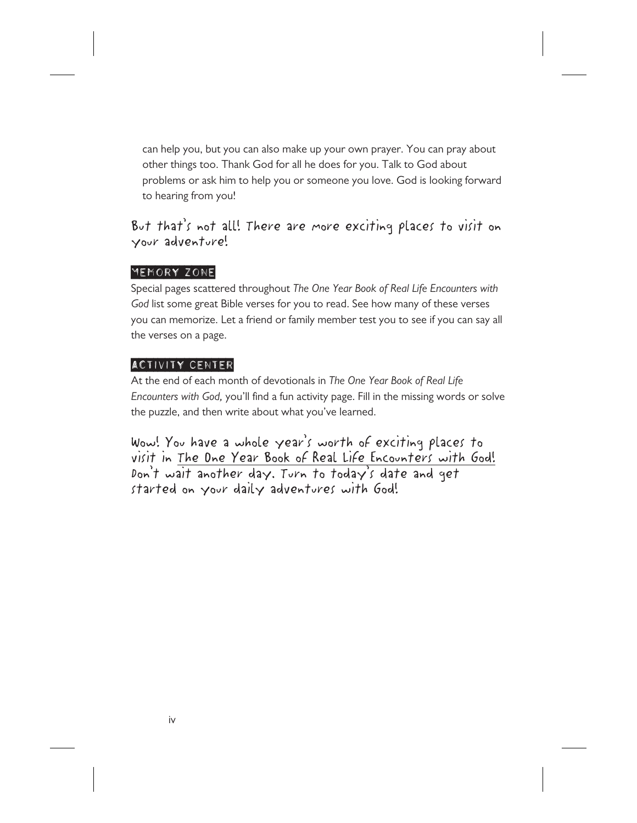can help you, but you can also make up your own prayer. You can pray about other things too. Thank God for all he does for you. Talk to God about problems or ask him to help you or someone you love. God is looking forward to hearing from you!

# But that's not all! There are more exciting places to visit on your adventure!

## Memory Zone

Special pages scattered throughout *The One Year Book of Real Life Encounters with God* list some great Bible verses for you to read. See how many of these verses you can memorize. Let a friend or family member test you to see if you can say all the verses on a page.

## Activity Center

At the end of each month of devotionals in *The One Year Book of Real Life Encounters with God,* you'll find a fun activity page. Fill in the missing words or solve the puzzle, and then write about what you've learned.

Wow! You have a whole year's worth of exciting places to visit in The One Year Book of Real Life Encounters with God! Don't wait another day. Turn to today's date and get started on your daily adventures with God!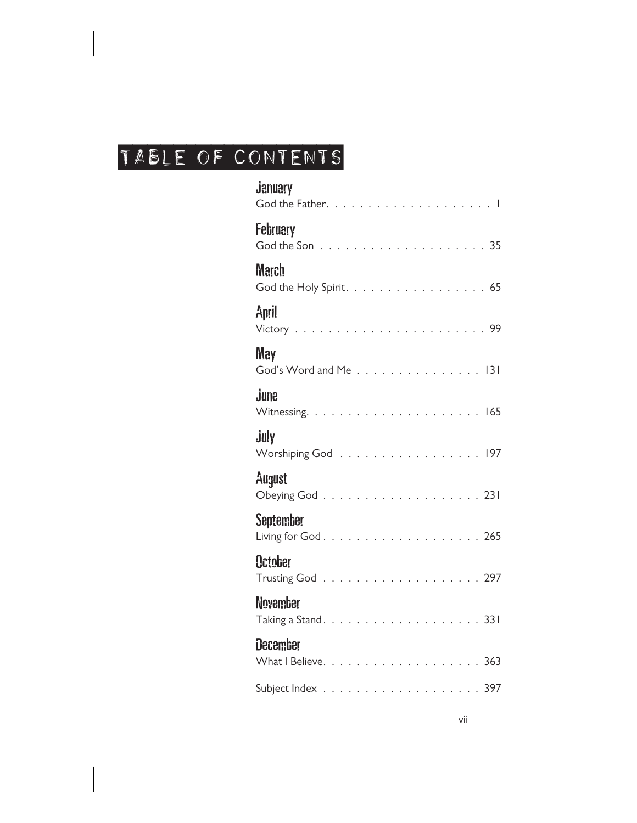# Table of Contents

| <b>February</b><br>March<br>God the Holy Spirit. 65<br>April<br>May<br>God's Word and Me 131<br><b>Squi.</b><br>July<br>Worshiping God 197<br><b>August</b><br>September<br>October<br><b>November</b><br>December | January |
|--------------------------------------------------------------------------------------------------------------------------------------------------------------------------------------------------------------------|---------|
|                                                                                                                                                                                                                    |         |
|                                                                                                                                                                                                                    |         |
|                                                                                                                                                                                                                    |         |
|                                                                                                                                                                                                                    |         |
|                                                                                                                                                                                                                    |         |
|                                                                                                                                                                                                                    |         |
|                                                                                                                                                                                                                    |         |
|                                                                                                                                                                                                                    |         |
|                                                                                                                                                                                                                    |         |
|                                                                                                                                                                                                                    |         |
|                                                                                                                                                                                                                    |         |
|                                                                                                                                                                                                                    |         |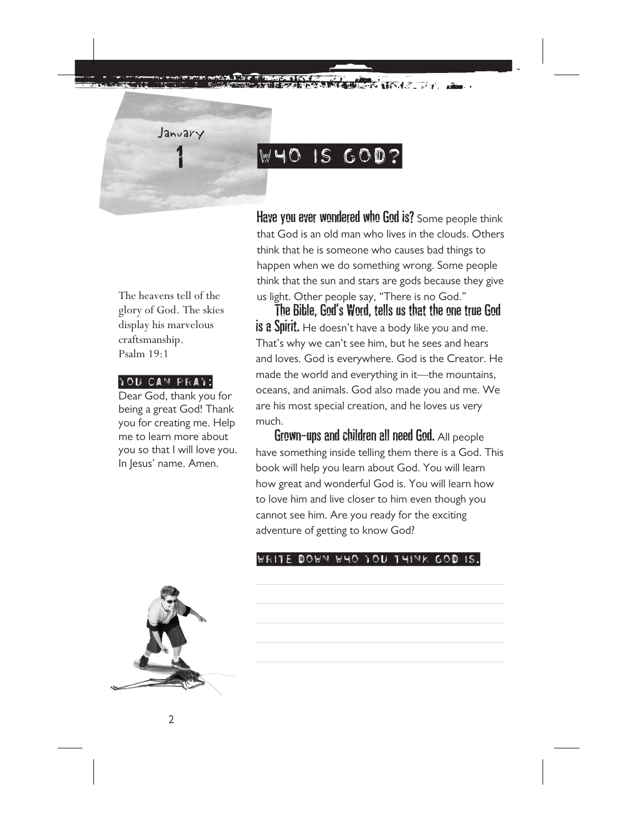**1**

# WHO IS GOD?

The heavens tell of the glory of God. The skies display his marvelous craftsmanship.

#### YOU CAN PRAY:

Psalm 19:1

Dear God, thank you for being a great God! Thank you for creating me. Help me to learn more about you so that I will love you. In Jesus' name. Amen.



Have you ever wondered who God is? Some people think that God is an old man who lives in the clouds. Others think that he is someone who causes bad things to happen when we do something wrong. Some people think that the sun and stars are gods because they give us light. Other people say, "There is no God."

The Bible, God's Word, tells us that the one true God is a Spirit. He doesn't have a body like you and me. That's why we can't see him, but he sees and hears and loves. God is everywhere. God is the Creator. He made the world and everything in it—the mountains, oceans, and animals. God also made you and me. We are his most special creation, and he loves us very much.

Grown-ups and children all need God. All people have something inside telling them there is a God. This book will help you learn about God. You will learn how great and wonderful God is. You will learn how to love him and live closer to him even though you cannot see him. Are you ready for the exciting adventure of getting to know God?

#### WRITE DOWN WHO YOU THINK GOD IS.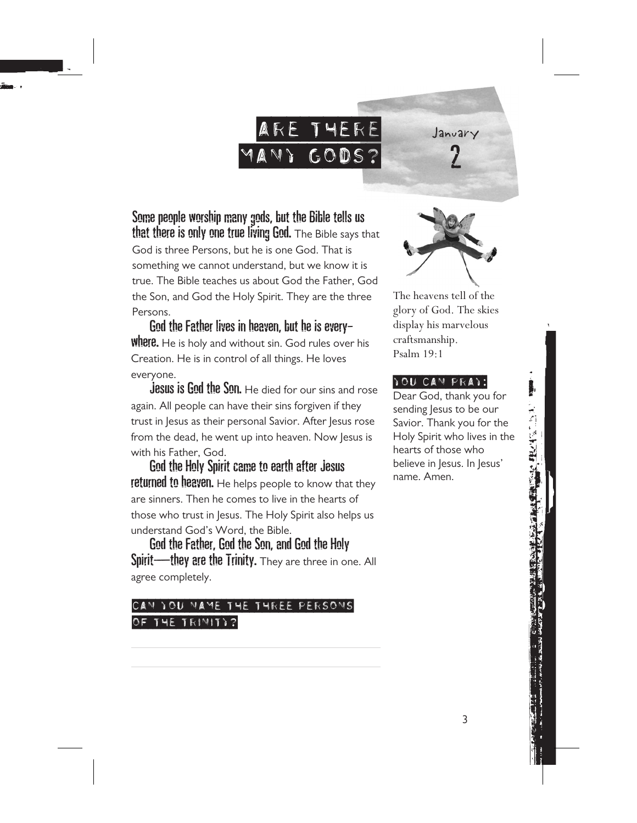

Some people worship many gods, but the Bible tells us that there is only one true living God. The Bible says that God is three Persons, but he is one God. That is something we cannot understand, but we know it is true. The Bible teaches us about God the Father, God the Son, and God the Holy Spirit. They are the three Persons.

God the Father lives in heaven, but he is every-**Where.** He is holy and without sin. God rules over his Creation. He is in control of all things. He loves everyone.

**Jesus is God the Son.** He died for our sins and rose again. All people can have their sins forgiven if they trust in Jesus as their personal Savior. After Jesus rose from the dead, he went up into heaven. Now Jesus is with his Father, God.

God the Holy Spirit came to earth after Jesus returned to heaven. He helps people to know that they are sinners. Then he comes to live in the hearts of those who trust in Jesus. The Holy Spirit also helps us understand God's Word, the Bible.

God the Father, God the Son, and God the Holy Spirit—they are the Trinity. They are three in one. All agree completely.

# CAN YOU NAME THE THREE PERSONS OF THE TRINITY?



January

**2**

The heavens tell of the glory of God. The skies display his marvelous craftsmanship. Psalm 19:1

## YOU CAN PRAY:

Dear God, thank you for sending Jesus to be our Savior. Thank you for the Holy Spirit who lives in the hearts of those who believe in Jesus. In Jesus' name. Amen.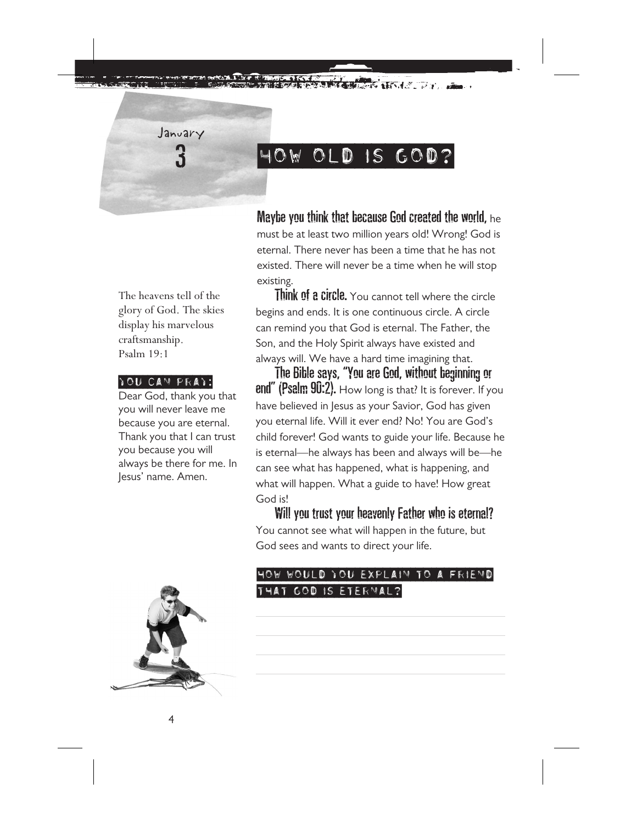**3**

The heavens tell of the glory of God. The skies display his marvelous craftsmanship. Psalm 19:1

#### YOU CAN PRAY:

Dear God, thank you that you will never leave me because you are eternal. Thank you that I can trust you because you will always be there for me. In Jesus' name. Amen.



# HOW OLD IS GOD?

Maybe you think that because God created the world, he must be at least two million years old! Wrong! God is eternal. There never has been a time that he has not existed. There will never be a time when he will stop existing.

Think of a circle. You cannot tell where the circle begins and ends. It is one continuous circle. A circle can remind you that God is eternal. The Father, the Son, and the Holy Spirit always have existed and always will. We have a hard time imagining that.

The Bible says, "You are God, without beginning or end" (Psalm 90:2). How long is that? It is forever. If you have believed in Jesus as your Savior, God has given you eternal life. Will it ever end? No! You are God's child forever! God wants to guide your life. Because he is eternal—he always has been and always will be—he can see what has happened, what is happening, and what will happen. What a guide to have! How great God is!

Will you trust your heavenly Father who is eternal? You cannot see what will happen in the future, but God sees and wants to direct your life.

### HOW WOULD YOU EXPLAIN TO A FRIEND THAT GOD IS ETERNAL?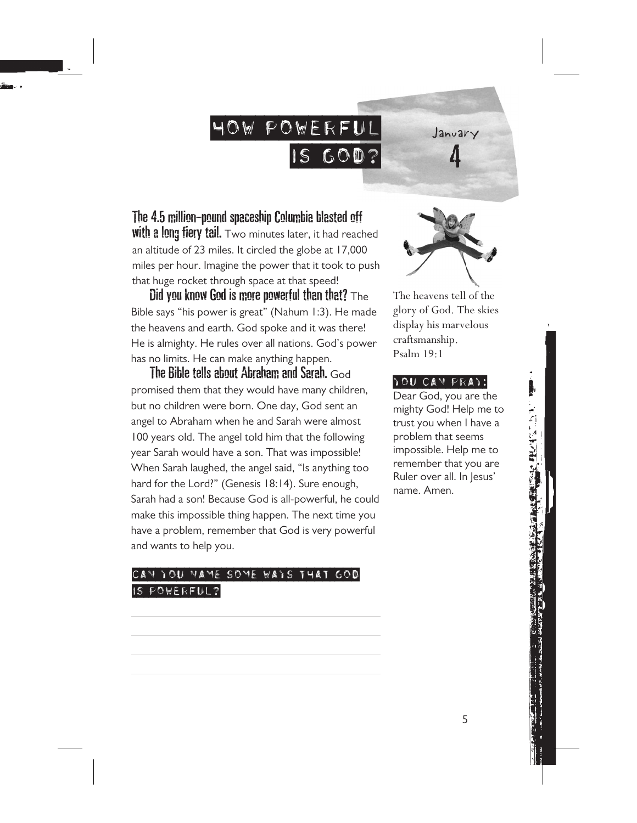# HOW POWERFUL IS GOD?

The 4.5 million-pound spaceship Columbia blasted off with a long fiery tail. Two minutes later, it had reached an altitude of 23 miles. It circled the globe at 17,000 miles per hour. Imagine the power that it took to push that huge rocket through space at that speed!

Did you know God is more powerful than that? The Bible says "his power is great" (Nahum 1:3). He made the heavens and earth. God spoke and it was there! He is almighty. He rules over all nations. God's power has no limits. He can make anything happen.

The Bible tells about Abraham and Sarah. God promised them that they would have many children, but no children were born. One day, God sent an angel to Abraham when he and Sarah were almost 100 years old. The angel told him that the following year Sarah would have a son. That was impossible! When Sarah laughed, the angel said, "Is anything too hard for the Lord?" (Genesis 18:14). Sure enough, Sarah had a son! Because God is all-powerful, he could make this impossible thing happen. The next time you have a problem, remember that God is very powerful and wants to help you.

# CAN YOU NAME SOME WAYS THAT GOD IS POWERFUL?



January

**4**

The heavens tell of the glory of God. The skies display his marvelous craftsmanship. Psalm 19:1

## YOU CAN PRAY:

Dear God, you are the mighty God! Help me to trust you when I have a problem that seems impossible. Help me to remember that you are Ruler over all. In Jesus' name. Amen.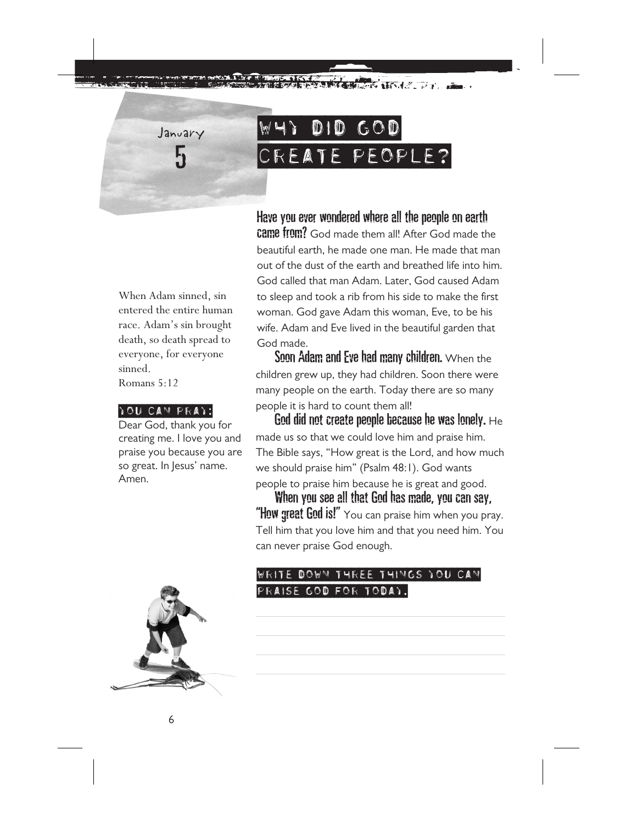**5**

# WHY DID GOD CREATE PEOPLE?

When Adam sinned, sin entered the entire human race. Adam's sin brought death, so death spread to everyone, for everyone sinned. Romans 5:12

#### YOU CAN PRAY:

Dear God, thank you for creating me. I love you and praise you because you are so great. In Jesus' name. Amen.



Have you ever wondered where all the people on earth

**Came from?** God made them all! After God made the beautiful earth, he made one man. He made that man out of the dust of the earth and breathed life into him. God called that man Adam. Later, God caused Adam to sleep and took a rib from his side to make the first woman. God gave Adam this woman, Eve, to be his wife. Adam and Eve lived in the beautiful garden that God made.

Soon Adam and Eve had many children. When the children grew up, they had children. Soon there were many people on the earth. Today there are so many people it is hard to count them all!

God did not create people because he was lonely.  $He$ made us so that we could love him and praise him. The Bible says, "How great is the Lord, and how much we should praise him" (Psalm 48:1). God wants people to praise him because he is great and good.

When you see all that God has made, you can say, "How great God is!" You can praise him when you pray. Tell him that you love him and that you need him. You can never praise God enough.

## WRITE DOWN THREE THINGS YOU CAN PRAISE GOD FOR TODAY.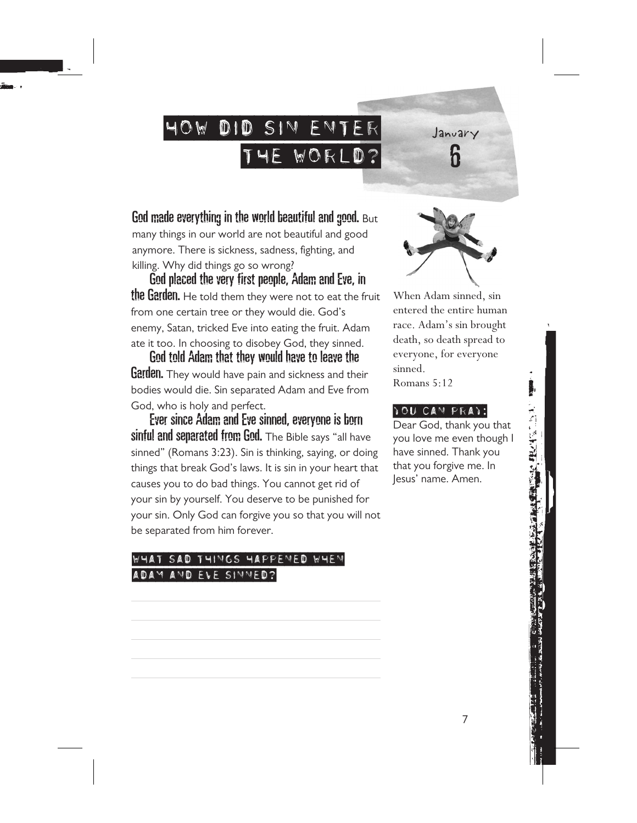# HOW DID SIN ENTE THE WORLD?

# God made everything in the world beautiful and good. But

many things in our world are not beautiful and good anymore. There is sickness, sadness, fighting, and killing. Why did things go so wrong?

God placed the very first people, Adam and Eve, in the Garden. He told them they were not to eat the fruit from one certain tree or they would die. God's enemy, Satan, tricked Eve into eating the fruit. Adam ate it too. In choosing to disobey God, they sinned.

God told Adam that they would have to leave the **Garden.** They would have pain and sickness and their bodies would die. Sin separated Adam and Eve from God, who is holy and perfect.

Ever since Adam and Eve sinned, everyone is born sinful and separated from God. The Bible says "all have sinned" (Romans 3:23). Sin is thinking, saying, or doing things that break God's laws. It is sin in your heart that causes you to do bad things. You cannot get rid of your sin by yourself. You deserve to be punished for your sin. Only God can forgive you so that you will not be separated from him forever.

# SAD THINGS HAPPENED WHEN ADAM AND EVE SINNED?



January

**6**

When Adam sinned, sin entered the entire human race. Adam's sin brought death, so death spread to everyone, for everyone sinned. Romans 5:12

## YOU CAN PRAY:

Dear God, thank you that you love me even though I have sinned. Thank you that you forgive me. In Jesus' name. Amen.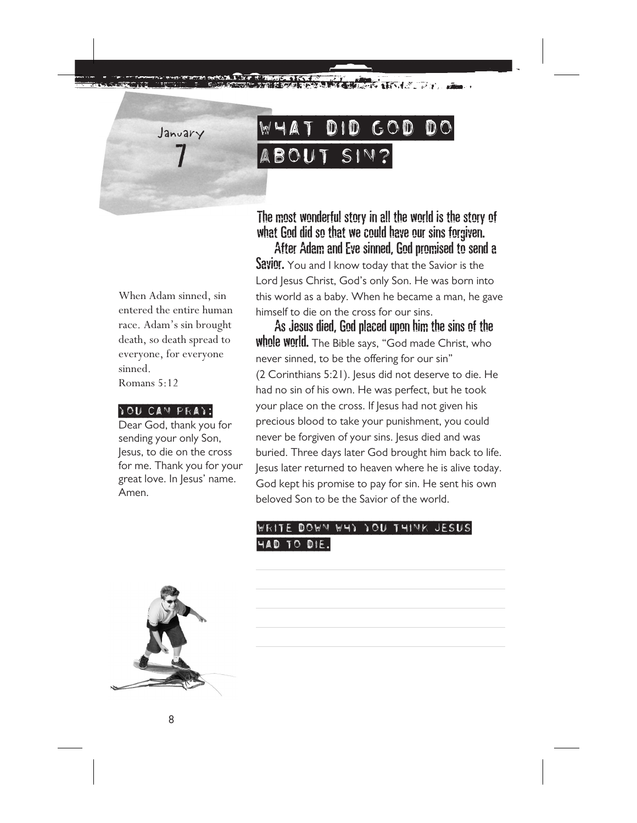**7**

When Adam sinned, sin entered the entire human race. Adam's sin brought death, so death spread to everyone, for everyone sinned. Romans 5:12

#### YOU CAN PRAY:

Dear God, thank you for sending your only Son, Jesus, to die on the cross for me. Thank you for your great love. In Jesus' name. Amen.



# DID GOD D BOUT SIN?

# The most wonderful story in all the world is the story of what God did so that we could have our sins forgiven. After Adam and Eve sinned, God promised to send a

Savior. You and I know today that the Savior is the Lord Jesus Christ, God's only Son. He was born into this world as a baby. When he became a man, he gave himself to die on the cross for our sins.

As Jesus died, God placed upon him the sins of the whole world. The Bible says, "God made Christ, who never sinned, to be the offering for our sin" (2 Corinthians 5:21). Jesus did not deserve to die. He had no sin of his own. He was perfect, but he took your place on the cross. If Jesus had not given his precious blood to take your punishment, you could never be forgiven of your sins. Jesus died and was buried. Three days later God brought him back to life. Jesus later returned to heaven where he is alive today. God kept his promise to pay for sin. He sent his own beloved Son to be the Savior of the world.

## WRITE DOWN WHY YOU THINK JESUS HAD TO DIE.